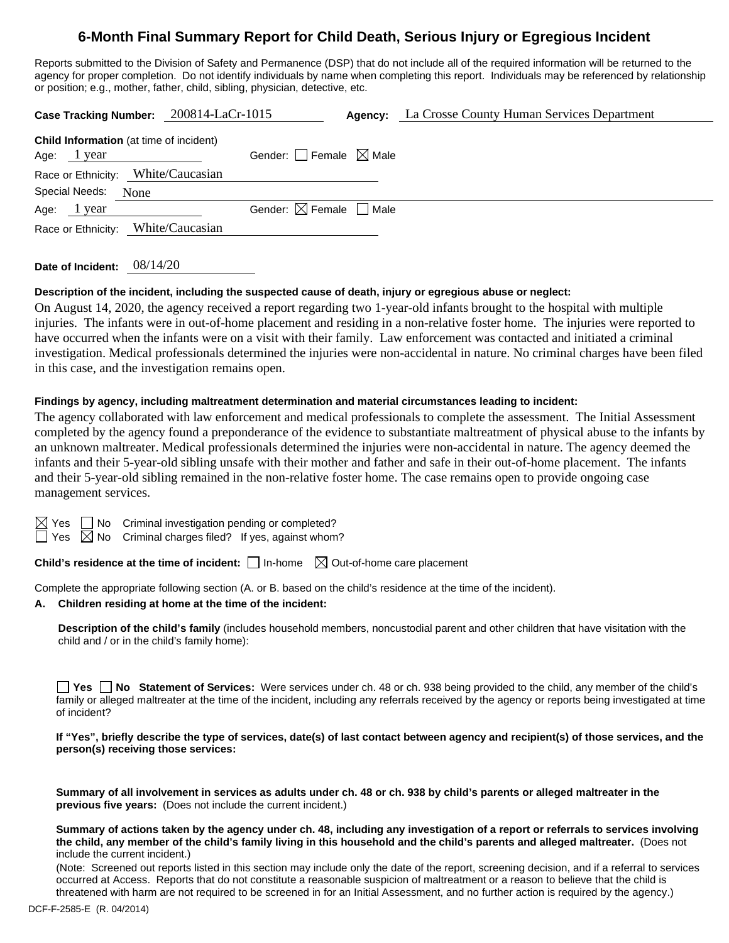# **6-Month Final Summary Report for Child Death, Serious Injury or Egregious Incident**

Reports submitted to the Division of Safety and Permanence (DSP) that do not include all of the required information will be returned to the agency for proper completion. Do not identify individuals by name when completing this report. Individuals may be referenced by relationship or position; e.g., mother, father, child, sibling, physician, detective, etc.

| Case Tracking Number: 200814-LaCr-1015                        |                                        | <b>Agency:</b> La Crosse County Human Services Department |
|---------------------------------------------------------------|----------------------------------------|-----------------------------------------------------------|
| <b>Child Information</b> (at time of incident)<br>Age: 1 year | Gender: $\Box$ Female $\boxtimes$ Male |                                                           |
| Race or Ethnicity: White/Caucasian                            |                                        |                                                           |
| <b>Special Needs:</b><br>None                                 |                                        |                                                           |
| Age: 1 year                                                   | Gender: $\boxtimes$ Female $\Box$ Male |                                                           |
| Race or Ethnicity: White/Caucasian                            |                                        |                                                           |

**Date of Incident:** 08/14/20

## **Description of the incident, including the suspected cause of death, injury or egregious abuse or neglect:**

On August 14, 2020, the agency received a report regarding two 1-year-old infants brought to the hospital with multiple injuries. The infants were in out-of-home placement and residing in a non-relative foster home. The injuries were reported to have occurred when the infants were on a visit with their family. Law enforcement was contacted and initiated a criminal investigation. Medical professionals determined the injuries were non-accidental in nature. No criminal charges have been filed in this case, and the investigation remains open.

## **Findings by agency, including maltreatment determination and material circumstances leading to incident:**

The agency collaborated with law enforcement and medical professionals to complete the assessment. The Initial Assessment completed by the agency found a preponderance of the evidence to substantiate maltreatment of physical abuse to the infants by an unknown maltreater. Medical professionals determined the injuries were non-accidental in nature. The agency deemed the infants and their 5-year-old sibling unsafe with their mother and father and safe in their out-of-home placement. The infants and their 5-year-old sibling remained in the non-relative foster home. The case remains open to provide ongoing case management services.

 $\boxtimes$  Yes  $\Box$  No Criminal investigation pending or completed?

 $\exists$  Yes  $\boxtimes$  No Criminal charges filed? If yes, against whom?

**Child's residence at the time of incident:**  $\Box$  In-home  $\Box$  Out-of-home care placement

Complete the appropriate following section (A. or B. based on the child's residence at the time of the incident).

# **A. Children residing at home at the time of the incident:**

**Description of the child's family** (includes household members, noncustodial parent and other children that have visitation with the child and / or in the child's family home):

**Yes No Statement of Services:** Were services under ch. 48 or ch. 938 being provided to the child, any member of the child's family or alleged maltreater at the time of the incident, including any referrals received by the agency or reports being investigated at time of incident?

## **If "Yes", briefly describe the type of services, date(s) of last contact between agency and recipient(s) of those services, and the person(s) receiving those services:**

**Summary of all involvement in services as adults under ch. 48 or ch. 938 by child's parents or alleged maltreater in the previous five years:** (Does not include the current incident.)

#### **Summary of actions taken by the agency under ch. 48, including any investigation of a report or referrals to services involving the child, any member of the child's family living in this household and the child's parents and alleged maltreater.** (Does not include the current incident.)

(Note: Screened out reports listed in this section may include only the date of the report, screening decision, and if a referral to services occurred at Access. Reports that do not constitute a reasonable suspicion of maltreatment or a reason to believe that the child is threatened with harm are not required to be screened in for an Initial Assessment, and no further action is required by the agency.)